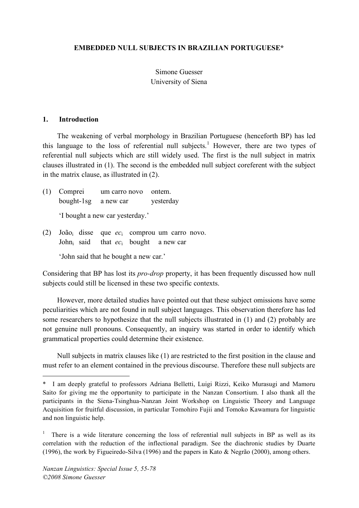### **EMBEDDED NULL SUBJECTS IN BRAZILIAN PORTUGUESE\***

# Simone Guesser University of Siena

#### **1. Introduction**

The weakening of verbal morphology in Brazilian Portuguese (henceforth BP) has led this language to the loss of referential null subjects. <sup>1</sup> However, there are two types of referential null subjects which are still widely used. The first is the null subject in matrix clauses illustrated in (1). The second is the embedded null subject coreferent with the subject in the matrix clause, as illustrated in (2).

- (1) Comprei um carro novo ontem. bought-1sg a new car yesterday 'I bought a new car yesterday.'
- (2) Joãoi disse que *ec*<sup>i</sup> comprou um carro novo. Johni said that *ec*<sup>i</sup> bought a new car

'John said that he bought a new car.'

Considering that BP has lost its *pro-drop* property, it has been frequently discussed how null subjects could still be licensed in these two specific contexts.

However, more detailed studies have pointed out that these subject omissions have some peculiarities which are not found in null subject languages. This observation therefore has led some researchers to hypothesize that the null subjects illustrated in (1) and (2) probably are not genuine null pronouns. Consequently, an inquiry was started in order to identify which grammatical properties could determine their existence.

Null subjects in matrix clauses like (1) are restricted to the first position in the clause and must refer to an element contained in the previous discourse. Therefore these null subjects are

 $\overline{a}$ 

<sup>\*</sup> I am deeply grateful to professors Adriana Belletti, Luigi Rizzi, Keiko Murasugi and Mamoru Saito for giving me the opportunity to participate in the Nanzan Consortium. I also thank all the participants in the Siena-Tsinghua-Nanzan Joint Workshop on Linguistic Theory and Language Acquisition for fruitful discussion, in particular Tomohiro Fujii and Tomoko Kawamura for linguistic and non linguistic help.

<sup>1</sup> There is a wide literature concerning the loss of referential null subjects in BP as well as its correlation with the reduction of the inflectional paradigm. See the diachronic studies by Duarte (1996), the work by Figueiredo-Silva (1996) and the papers in Kato & Negrão (2000), among others.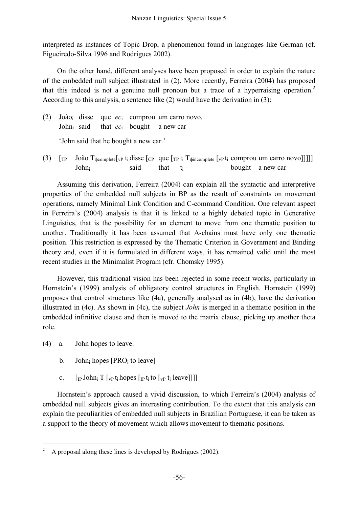interpreted as instances of Topic Drop, a phenomenon found in languages like German (cf. Figueiredo-Silva 1996 and Rodrigues 2002).

On the other hand, different analyses have been proposed in order to explain the nature of the embedded null subject illustrated in (2). More recently, Ferreira (2004) has proposed that this indeed is not a genuine null pronoun but a trace of a hyperraising operation.<sup>2</sup> According to this analysis, a sentence like (2) would have the derivation in (3):

(2) Joãoi disse que *ec*<sup>i</sup> comprou um carro novo. Johni said that *ec*<sup>i</sup> bought a new car 'John said that he bought a new car.'

(3)  $[\text{TP} \quad \text{João } T_{\text{d}c o mpletel}$   $\mathbf{v}_P$  t<sub>i</sub> disse  $[\text{CP} \quad \text{que } [\text{TP} \quad t_i \quad T_{\text{d}c o mpletel} \quad \text{[vP} \quad t_i \quad \text{comprou um carro novo}]]]]$ John<sub>i</sub> said that t<sub>i</sub> bought a new car

Assuming this derivation, Ferreira (2004) can explain all the syntactic and interpretive properties of the embedded null subjects in BP as the result of constraints on movement operations, namely Minimal Link Condition and C-command Condition. One relevant aspect in Ferreira's (2004) analysis is that it is linked to a highly debated topic in Generative Linguistics, that is the possibility for an element to move from one thematic position to another. Traditionally it has been assumed that A-chains must have only one thematic position. This restriction is expressed by the Thematic Criterion in Government and Binding theory and, even if it is formulated in different ways, it has remained valid until the most recent studies in the Minimalist Program (cfr. Chomsky 1995).

However, this traditional vision has been rejected in some recent works, particularly in Hornstein's (1999) analysis of obligatory control structures in English. Hornstein (1999) proposes that control structures like (4a), generally analysed as in (4b), have the derivation illustrated in (4c). As shown in (4c), the subject *John* is merged in a thematic position in the embedded infinitive clause and then is moved to the matrix clause, picking up another theta role.

- (4) a. John hopes to leave.
	- b. John<sub>i</sub> hopes  $[PRO<sub>i</sub> to leave]$
	- c.  $\left[\prod_{\text{IP}} \text{John}_i \right] \left[\prod_{\text{VP}} t_i \text{ hopes} \left[\prod_{\text{IP}} t_i \text{ to } \left[\prod_{\text{VP}} t_i \text{ leave} \right]\right]\right]$

Hornstein's approach caused a vivid discussion, to which Ferreira's (2004) analysis of embedded null subjects gives an interesting contribution. To the extent that this analysis can explain the peculiarities of embedded null subjects in Brazilian Portuguese, it can be taken as a support to the theory of movement which allows movement to thematic positions.

 <sup>2</sup> <sup>A</sup> proposal along these lines is developed by Rodrigues (2002).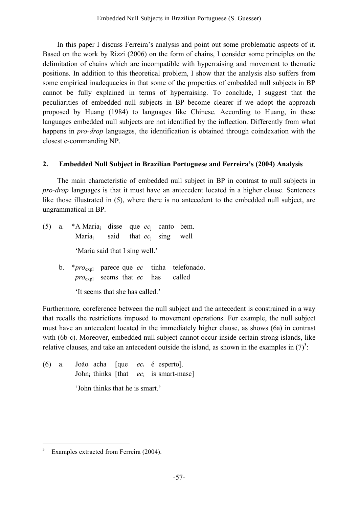In this paper I discuss Ferreira's analysis and point out some problematic aspects of it. Based on the work by Rizzi (2006) on the form of chains, I consider some principles on the delimitation of chains which are incompatible with hyperraising and movement to thematic positions. In addition to this theoretical problem, I show that the analysis also suffers from some empirical inadequacies in that some of the properties of embedded null subjects in BP cannot be fully explained in terms of hyperraising. To conclude, I suggest that the peculiarities of embedded null subjects in BP become clearer if we adopt the approach proposed by Huang (1984) to languages like Chinese. According to Huang, in these languages embedded null subjects are not identified by the inflection. Differently from what happens in *pro-drop* languages, the identification is obtained through coindexation with the closest c-commanding NP.

# **2. Embedded Null Subject in Brazilian Portuguese and Ferreira's (2004) Analysis**

The main characteristic of embedded null subject in BP in contrast to null subjects in *pro-drop* languages is that it must have an antecedent located in a higher clause. Sentences like those illustrated in (5), where there is no antecedent to the embedded null subject, are ungrammatical in BP.

- (5) a. \*A Mariai disse que *ec*<sup>j</sup> canto bem. Mariai said that *ec*<sup>j</sup> sing well 'Maria said that I sing well.'
	- b. \**pro*expl parece que *ec* tinha telefonado. *pro*expl seems that *ec* has called

'It seems that she has called.'

Furthermore, coreference between the null subject and the antecedent is constrained in a way that recalls the restrictions imposed to movement operations. For example, the null subject must have an antecedent located in the immediately higher clause, as shows (6a) in contrast with (6b-c). Moreover, embedded null subject cannot occur inside certain strong islands, like relative clauses, and take an antecedent outside the island, as shown in the examples in  $(7)^3$ :

(6) a. Joãoi acha [que *ec*<sup>i</sup> é esperto]. John<sub>i</sub> thinks [that  $ec_i$  is smart-masc] 'John thinks that he is smart.'

Examples extracted from Ferreira (2004).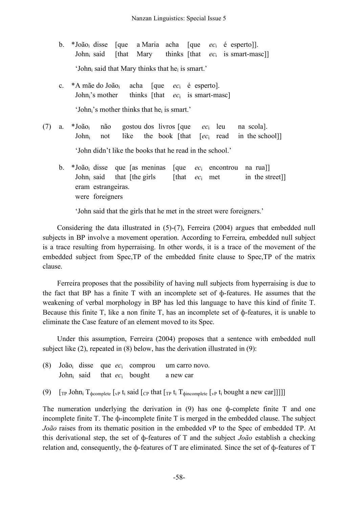- b. \*Joãoi disse [que a Maria acha [que *ec*<sup>i</sup> é esperto]]. Johni said [that Mary thinks [that *ec*<sup>i</sup> is smart-masc]] 'John $<sub>i</sub>$  said that Mary thinks that he $<sub>i</sub>$  is smart.'</sub></sub>
- c. \*A mãe do Joãoi acha [que *ec*<sup>i</sup> é esperto]. John<sub>i</sub>'s mother thinks [that *ec*<sub>i</sub> is smart-masc] 'John;'s mother thinks that he<sub>i</sub> is smart.'
- (7) a. \*Joãoi não gostou dos livros [que *ec*<sup>i</sup> leu na scola]. Johni not like the book [that [*ec*<sup>i</sup> read in the school]] 'John didn't like the books that he read in the school.'
	- b. \*Joãoi disse que [as meninas [que *ec*<sup>i</sup> encontrou na rua]] John<sub>i</sub> said that [the girls [that  $ec_i$  met in the street]] eram estrangeiras. were foreigners

'John said that the girls that he met in the street were foreigners.'

Considering the data illustrated in (5)-(7), Ferreira (2004) argues that embedded null subjects in BP involve a movement operation. According to Ferreira, embedded null subject is a trace resulting from hyperraising. In other words, it is a trace of the movement of the embedded subject from Spec,TP of the embedded finite clause to Spec,TP of the matrix clause.

Ferreira proposes that the possibility of having null subjects from hyperraising is due to the fact that BP has a finite T with an incomplete set of ф-features. He assumes that the weakening of verbal morphology in BP has led this language to have this kind of finite T. Because this finite T, like a non finite T, has an incomplete set of ф-features, it is unable to eliminate the Case feature of an element moved to its Spec.

Under this assumption, Ferreira (2004) proposes that a sentence with embedded null subject like (2), repeated in (8) below, has the derivation illustrated in (9):

|  |                              | (8) João <sub>i</sub> disse que $ec_i$ comprou | um carro novo. |
|--|------------------------------|------------------------------------------------|----------------|
|  | John said that $ec_i$ bought |                                                | a new car      |

(9)  $\lceil \text{TP John}_i \rceil$   $\lceil \text{p Onn}_i \rceil$   $\lceil \text{p Onn}_i \rceil$   $\lceil \text{p Onn}_i \rceil$   $\lceil \text{p Onn}_i \rceil$   $\lceil \text{p Onn}_i \rceil$   $\lceil \text{p Onn}_i \rceil$   $\lceil \text{p Onn}_i \rceil$   $\lceil \text{p Onn}_i \rceil$   $\lceil \text{p Onn}_i \rceil$   $\lceil \text{p Onn}_i \rceil$   $\lceil \text{p Onn}_i \rceil$   $\lceil \text{p Onn}_i \r$ 

The numeration underlying the derivation in (9) has one ф-complete finite T and one incomplete finite T. The ф-incomplete finite T is merged in the embedded clause. The subject *João* raises from its thematic position in the embedded vP to the Spec of embedded TP. At this derivational step, the set of ф-features of T and the subject *João* establish a checking relation and, consequently, the ф-features of T are eliminated. Since the set of ф-features of T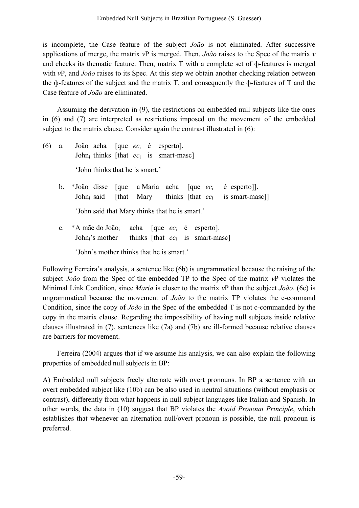is incomplete, the Case feature of the subject *João* is not eliminated. After successive applications of merge, the matrix *v*P is merged. Then, *João* raises to the Spec of the matrix *v* and checks its thematic feature. Then, matrix T with a complete set of ф-features is merged with *vP*, and *João* raises to its Spec. At this step we obtain another checking relation between the ф-features of the subject and the matrix T, and consequently the ф-features of T and the Case feature of *João* are eliminated.

Assuming the derivation in (9), the restrictions on embedded null subjects like the ones in (6) and (7) are interpreted as restrictions imposed on the movement of the embedded subject to the matrix clause. Consider again the contrast illustrated in (6):

- (6) a. Joãoi acha [que *ec*<sup>i</sup> é esperto]. Johni thinks [that *ec*<sup>i</sup> is smart-masc] 'John thinks that he is smart.'
	- b. \*Joãoi disse [que a Maria acha [que *ec*<sup>i</sup> é esperto]]. Johni said [that Mary thinks [that *ec*<sup>i</sup> is smart-masc]] 'John said that Mary thinks that he is smart.'
	- c. \*A mãe do Joãoi acha [que *ec*<sup>i</sup> é esperto]. John<sub>i</sub>'s mother thinks [that *ec*<sub>i</sub> is smart-masc] 'John's mother thinks that he is smart.'

Following Ferreira's analysis, a sentence like (6b) is ungrammatical because the raising of the subject *João* from the Spec of the embedded TP to the Spec of the matrix *v*P violates the Minimal Link Condition, since *Maria* is closer to the matrix *v*P than the subject *João*. (6c) is ungrammatical because the movement of *João* to the matrix TP violates the c-command Condition, since the copy of *João* in the Spec of the embedded T is not c-commanded by the copy in the matrix clause. Regarding the impossibility of having null subjects inside relative clauses illustrated in (7), sentences like (7a) and (7b) are ill-formed because relative clauses are barriers for movement.

Ferreira (2004) argues that if we assume his analysis, we can also explain the following properties of embedded null subjects in BP:

A) Embedded null subjects freely alternate with overt pronouns. In BP a sentence with an overt embedded subject like (10b) can be also used in neutral situations (without emphasis or contrast), differently from what happens in null subject languages like Italian and Spanish. In other words, the data in (10) suggest that BP violates the *Avoid Pronoun Principle*, which establishes that whenever an alternation null/overt pronoun is possible, the null pronoun is preferred.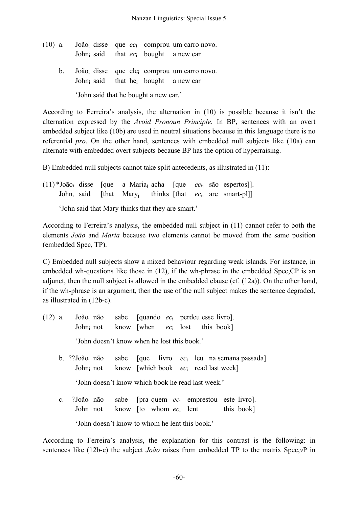- (10) a. Joãoi disse que *ec*<sup>i</sup> comprou um carro novo. Johni said that *ec*<sup>i</sup> bought a new car
	- b. Joãoi disse que elei comprou um carro novo. John<sub>i</sub> said that he<sub>i</sub> bought a new car

'John said that he bought a new car.'

According to Ferreira's analysis, the alternation in (10) is possible because it isn't the alternation expressed by the *Avoid Pronoun Principle*. In BP, sentences with an overt embedded subject like (10b) are used in neutral situations because in this language there is no referential *pro*. On the other hand, sentences with embedded null subjects like (10a) can alternate with embedded overt subjects because BP has the option of hyperraising.

B) Embedded null subjects cannot take split antecedents, as illustrated in (11):

(11) \*Joãoi disse [que a Mariaj acha [que *ec*ij são espertos]]. Johni said [that Maryj thinks [that *ec*ij are smart-pl]]

'John said that Mary thinks that they are smart.'

According to Ferreira's analysis, the embedded null subject in (11) cannot refer to both the elements *João* and *Maria* because two elements cannot be moved from the same position (embedded Spec, TP).

C) Embedded null subjects show a mixed behaviour regarding weak islands. For instance, in embedded wh-questions like those in (12), if the wh-phrase in the embedded Spec,CP is an adjunct, then the null subject is allowed in the embedded clause (cf. (12a)). On the other hand, if the wh-phrase is an argument, then the use of the null subject makes the sentence degraded, as illustrated in (12b-c).

- (12) a. Joãoi não sabe [quando *ec*<sup>i</sup> perdeu esse livro]. Johni not know [when *ec*<sup>i</sup> lost this book] 'John doesn't know when he lost this book.'
	- b. ??João<sub>i</sub> não sabe [que livro *ec*<sub>i</sub> leu na semana passada]. Johni not know [which book *ec*<sup>i</sup> read last week]

'John doesn't know which book he read last week.'

c. ?Joãoi não sabe [pra quem *ec*<sup>i</sup> emprestou este livro]. John not know  $[$ to whom  $ec_i$  lent this book] 'John doesn't know to whom he lent this book.'

According to Ferreira's analysis, the explanation for this contrast is the following: in sentences like (12b-c) the subject *João* raises from embedded TP to the matrix Spec,*v*P in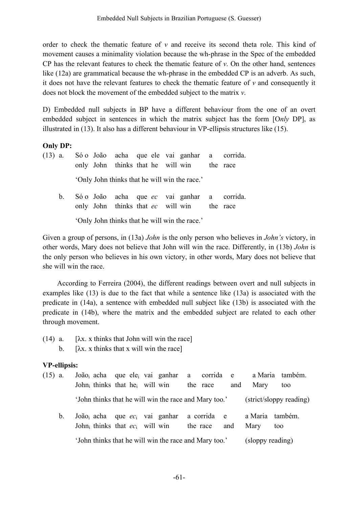order to check the thematic feature of *v* and receive its second theta role. This kind of movement causes a minimality violation because the wh-phrase in the Spec of the embedded CP has the relevant features to check the thematic feature of *v*. On the other hand, sentences like (12a) are grammatical because the wh-phrase in the embedded CP is an adverb. As such, it does not have the relevant features to check the thematic feature of *v* and consequently it does not block the movement of the embedded subject to the matrix *v*.

D) Embedded null subjects in BP have a different behaviour from the one of an overt embedded subject in sentences in which the matrix subject has the form [O*nly* DP], as illustrated in (13). It also has a different behaviour in VP-ellipsis structures like (15).

## **Only DP:**

| $(13)$ a. |  |  |  | Só o João acha que ele vai ganhar a corrida.                                              |  |
|-----------|--|--|--|-------------------------------------------------------------------------------------------|--|
|           |  |  |  | only John thinks that he will win the race                                                |  |
|           |  |  |  | 'Only John thinks that he will win the race.'                                             |  |
| b.        |  |  |  | Só o João acha que ec vai ganhar a corrida.<br>only John thinks that ec will win the race |  |
|           |  |  |  | 'Only John thinks that he will win the race.'                                             |  |

Given a group of persons, in (13a) *John* is the only person who believes in *John's* victory, in other words, Mary does not believe that John will win the race. Differently, in (13b) *John* is the only person who believes in his own victory, in other words, Mary does not believe that she will win the race.

According to Ferreira (2004), the different readings between overt and null subjects in examples like (13) is due to the fact that while a sentence like (13a) is associated with the predicate in (14a), a sentence with embedded null subject like (13b) is associated with the predicate in (14b), where the matrix and the embedded subject are related to each other through movement.

- (14) a.  $[\lambda x]$  x thinks that John will win the race]
	- b.  $[\lambda x]$ , x thinks that x will win the race]

## **VP-ellipsis:**

| $(15)$ a. |                                                                           |  |                                  |  |  |  |                                                       |          |             |     |                                | João <sub>i</sub> acha que ele <sub>i</sub> vai ganhar a corrida e a Maria também. |  |  |  |
|-----------|---------------------------------------------------------------------------|--|----------------------------------|--|--|--|-------------------------------------------------------|----------|-------------|-----|--------------------------------|------------------------------------------------------------------------------------|--|--|--|
|           |                                                                           |  | John thinks that he will win     |  |  |  |                                                       |          | the race    | and | Mary                           | too                                                                                |  |  |  |
|           |                                                                           |  |                                  |  |  |  | 'John thinks that he will win the race and Mary too.' |          |             |     |                                | (strict/sloppy reading)                                                            |  |  |  |
|           | b.                                                                        |  | John thinks that $ec_i$ will win |  |  |  | João <sub>i</sub> acha que $ec_i$ vai ganhar          | the race | a corrida e | and | a Maria também.<br>Mary<br>too |                                                                                    |  |  |  |
|           | 'John thinks that he will win the race and Mary too.'<br>(sloppy reading) |  |                                  |  |  |  |                                                       |          |             |     |                                |                                                                                    |  |  |  |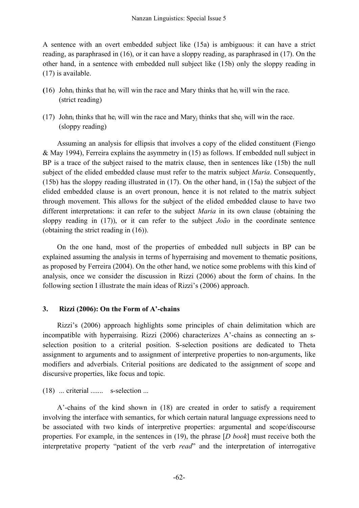A sentence with an overt embedded subject like (15a) is ambiguous: it can have a strict reading, as paraphrased in (16), or it can have a sloppy reading, as paraphrased in (17). On the other hand, in a sentence with embedded null subject like (15b) only the sloppy reading in (17) is available.

- (16) John<sub>i</sub> thinks that he<sub>i</sub> will win the race and Mary thinks that he<sub>i</sub> will win the race. (strict reading)
- (17) John<sub>i</sub> thinks that he<sub>i</sub> will win the race and Mary<sub>i</sub> thinks that she<sub>i</sub> will win the race. (sloppy reading)

Assuming an analysis for ellipsis that involves a copy of the elided constituent (Fiengo & May 1994), Ferreira explains the asymmetry in (15) as follows. If embedded null subject in BP is a trace of the subject raised to the matrix clause, then in sentences like (15b) the null subject of the elided embedded clause must refer to the matrix subject *Maria*. Consequently, (15b) has the sloppy reading illustrated in (17). On the other hand, in (15a) the subject of the elided embedded clause is an overt pronoun, hence it is not related to the matrix subject through movement. This allows for the subject of the elided embedded clause to have two different interpretations: it can refer to the subject *Maria* in its own clause (obtaining the sloppy reading in (17)), or it can refer to the subject *João* in the coordinate sentence (obtaining the strict reading in (16)).

On the one hand, most of the properties of embedded null subjects in BP can be explained assuming the analysis in terms of hyperraising and movement to thematic positions, as proposed by Ferreira (2004). On the other hand, we notice some problems with this kind of analysis, once we consider the discussion in Rizzi (2006) about the form of chains. In the following section I illustrate the main ideas of Rizzi's (2006) approach.

### **3. Rizzi (2006): On the Form of A'-chains**

Rizzi's (2006) approach highlights some principles of chain delimitation which are incompatible with hyperraising. Rizzi (2006) characterizes A'-chains as connecting an sselection position to a criterial position. S-selection positions are dedicated to Theta assignment to arguments and to assignment of interpretive properties to non-arguments, like modifiers and adverbials. Criterial positions are dedicated to the assignment of scope and discursive properties, like focus and topic.

### (18) ... criterial ....... s-selection ...

A'-chains of the kind shown in (18) are created in order to satisfy a requirement involving the interface with semantics, for which certain natural language expressions need to be associated with two kinds of interpretive properties: argumental and scope/discourse properties. For example, in the sentences in (19), the phrase [*D book*] must receive both the interpretative property "patient of the verb *read*" and the interpretation of interrogative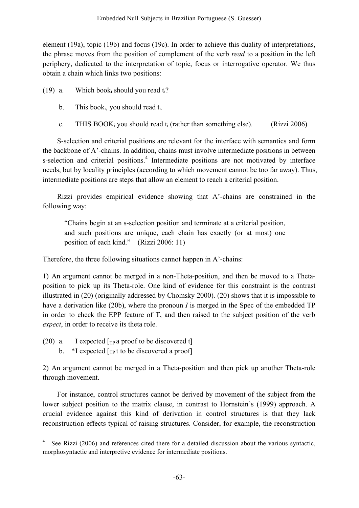element (19a), topic (19b) and focus (19c). In order to achieve this duality of interpretations, the phrase moves from the position of complement of the verb *read* to a position in the left periphery, dedicated to the interpretation of topic, focus or interrogative operator. We thus obtain a chain which links two positions:

(19) a. Which book<sub>i</sub> should you read  $t_i$ ?

- b. This book<sub>i</sub>, you should read  $t_i$ .
- c. THIS BOOK<sub>i</sub> you should read  $t_i$  (rather than something else). (Rizzi 2006)

S-selection and criterial positions are relevant for the interface with semantics and form the backbone of A'-chains. In addition, chains must involve intermediate positions in between s-selection and criterial positions.<sup>4</sup> Intermediate positions are not motivated by interface needs, but by locality principles (according to which movement cannot be too far away). Thus, intermediate positions are steps that allow an element to reach a criterial position.

Rizzi provides empirical evidence showing that A'-chains are constrained in the following way:

"Chains begin at an s-selection position and terminate at a criterial position, and such positions are unique, each chain has exactly (or at most) one position of each kind." (Rizzi 2006: 11)

Therefore, the three following situations cannot happen in A'-chains:

1) An argument cannot be merged in a non-Theta-position, and then be moved to a Thetaposition to pick up its Theta-role. One kind of evidence for this constraint is the contrast illustrated in (20) (originally addressed by Chomsky 2000). (20) shows that it is impossible to have a derivation like (20b), where the pronoun *I* is merged in the Spec of the embedded TP in order to check the EPP feature of T, and then raised to the subject position of the verb *expect*, in order to receive its theta role.

- (20) a. I expected  $\lceil_{TP}$  a proof to be discovered t
	- b.  $*$ I expected  $\lceil_{TP} t \rceil$  to be discovered a proof

2) An argument cannot be merged in a Theta-position and then pick up another Theta-role through movement.

For instance, control structures cannot be derived by movement of the subject from the lower subject position to the matrix clause, in contrast to Hornstein's (1999) approach. A crucial evidence against this kind of derivation in control structures is that they lack reconstruction effects typical of raising structures. Consider, for example, the reconstruction

See Rizzi (2006) and references cited there for a detailed discussion about the various syntactic, morphosyntactic and interpretive evidence for intermediate positions.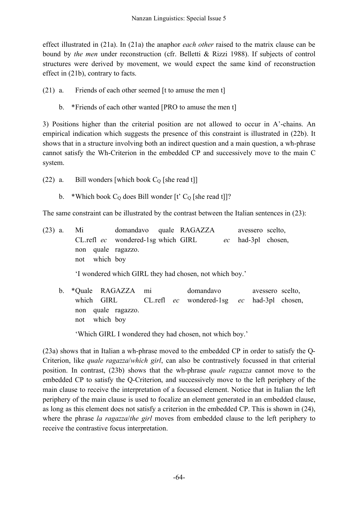effect illustrated in (21a). In (21a) the anaphor *each other* raised to the matrix clause can be bound by *the men* under reconstruction (cfr. Belletti & Rizzi 1988). If subjects of control structures were derived by movement, we would expect the same kind of reconstruction effect in (21b), contrary to facts.

(21) a. Friends of each other seemed [t to amuse the men t]

b. \*Friends of each other wanted [PRO to amuse the men t]

3) Positions higher than the criterial position are not allowed to occur in A'-chains. An empirical indication which suggests the presence of this constraint is illustrated in (22b). It shows that in a structure involving both an indirect question and a main question, a wh-phrase cannot satisfy the Wh-Criterion in the embedded CP and successively move to the main C system.

- (22) a. Bill wonders [which book  $C_0$  [she read t]]
	- b. \*Which book  $C_0$  does Bill wonder [t'  $C_0$  [she read t]]?

The same constraint can be illustrated by the contrast between the Italian sentences in (23):

(23) a. Mi domandavo quale RAGAZZA avessero scelto, CL.refl *ec* wondered-1sg which GIRL *ec* had-3pl chosen, non quale ragazzo. not which boy

'I wondered which GIRL they had chosen, not which boy.'

b. \*Quale RAGAZZA mi domandavo avessero scelto, which GIRL CL.refl *ec* wondered-1sg *ec* had-3pl chosen, non quale ragazzo. not which boy

'Which GIRL I wondered they had chosen, not which boy.'

(23a) shows that in Italian a wh-phrase moved to the embedded CP in order to satisfy the Q-Criterion, like *quale ragazza*/*which girl*, can also be contrastively focussed in that criterial position. In contrast, (23b) shows that the wh-phrase *quale ragazza* cannot move to the embedded CP to satisfy the Q-Criterion, and successively move to the left periphery of the main clause to receive the interpretation of a focussed element. Notice that in Italian the left periphery of the main clause is used to focalize an element generated in an embedded clause, as long as this element does not satisfy a criterion in the embedded CP. This is shown in (24), where the phrase *la ragazza*/*the girl* moves from embedded clause to the left periphery to receive the contrastive focus interpretation.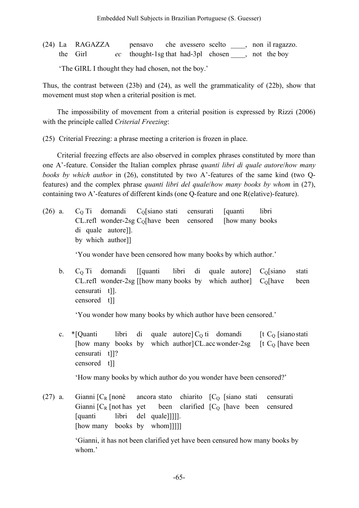(24) La RAGAZZA pensavo che avessero scelto \_\_\_\_, non il ragazzo. the Girl *ec* thought-1sg that had-3pl chosen \_\_\_\_, not the boy

'The GIRL I thought they had chosen, not the boy.'

Thus, the contrast between (23b) and (24), as well the grammaticality of (22b), show that movement must stop when a criterial position is met.

The impossibility of movement from a criterial position is expressed by Rizzi (2006) with the principle called *Criterial Freezing*:

(25) Criterial Freezing: a phrase meeting a criterion is frozen in place.

Criterial freezing effects are also observed in complex phrases constituted by more than one A'-feature. Consider the Italian complex phrase *quanti libri di quale autore*/*how many books by which author* in (26), constituted by two A'-features of the same kind (two Qfeatures) and the complex phrase *quanti libri del quale*/*how many books by whom* in (27), containing two A'-features of different kinds (one Q-feature and one R(elative)-feature).

 $(26)$  a. C<sub>O</sub> Ti domandi C<sub>O</sub>[siano stati censurati [quanti libri CL.refl wonder-2sg  $C_0$ [have been censored [how many books] di quale autore]]. by which author]]

'You wonder have been censored how many books by which author.'

b.  $C<sub>0</sub>$  Ti domandi [[quanti libri di quale autore]  $C<sub>0</sub>$ [siano stati CL.refl wonder-2sg [[how many books by which author]  $C_0$ [have been censurati t]]. censored t]]

'You wonder how many books by which author have been censored.'

c. \*[Quanti libri di quale autore]  $C_0$  ti domandi [t  $C_0$  [sianostati] [how many books by which author]CL.accwonder-2sg [t C<sub>O</sub> [have been] censurati t]]? censored t]]

'How many books by which author do you wonder have been censored?'

(27) a. Gianni  $[C_R]$  [nonè ancora stato chiarito  $[C_O]$  [siano stati censurati Gianni  $[C_R]$  [not has yet been clarified  $[C_O]$  [have been censured [quanti libri del quale]]]]]. [how many books by whom]]]]]

> 'Gianni, it has not been clarified yet have been censured how many books by whom.'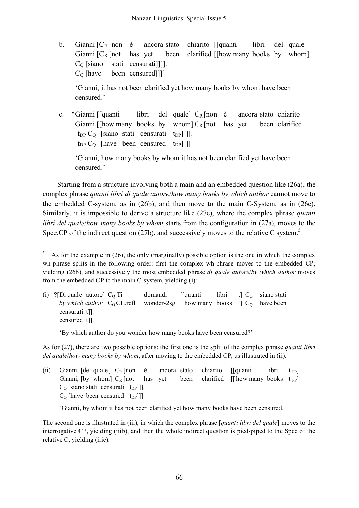b. Gianni  $[C_R]$  finon è ancora stato chiarito  $[$ [quanti libri del quale] Gianni  $[C_R]$  [not has yet been clarified [[how many books by whom]  $C<sub>O</sub>$  [siano stati censurati]]].  $C<sub>O</sub>$  [have been censured]]]]

'Gianni, it has not been clarified yet how many books by whom have been censured.'

c. \*Gianni [[quanti libri del quale]  $C_R$  [non è ancora stato chiarito Gianni [[how many books by whom]  $C_R$  [not has yet been clarified  $[t_{DP} C_Q$  [siano stati censurati  $t_{DP}$ ]]].  $[t_{DP} C_{O}$  [have been censured t<sub>DP</sub>]]]]

'Gianni, how many books by whom it has not been clarified yet have been censured.'

Starting from a structure involving both a main and an embedded question like (26a), the complex phrase *quanti libri di quale autore*/*how many books by which author* cannot move to the embedded C-system, as in (26b), and then move to the main C-System, as in (26c). Similarly, it is impossible to derive a structure like (27c), where the complex phrase *quanti libri del quale*/*how many books by whom* starts from the configuration in (27a), moves to the Spec, CP of the indirect question (27b), and successively moves to the relative C system.<sup>5</sup>

(i) ?[Di quale autore]  $C_0$  Ti domandi [[quanti libri t]  $C_0$  siano stati [*by* which *author*]  $C_0$  CL.refl wonder-2sg [[how many books t]  $C_0$  have been censurati t]]. censured t]]

'By which author do you wonder how many books have been censured?'

As for (27), there are two possible options: the first one is the split of the complex phrase *quanti libri del quale*/*how many books by whom*, after moving to the embedded CP, as illustrated in (ii).

(ii) Gianni, [del quale ]  $C_R$  [non è ancora stato chiarito [[quanti libri t pp] Gianni, [by whom]  $C_R$  [not has yet been clarified [[how many books t PP]  $C<sub>O</sub>$  [siano stati censurati t<sub>DP</sub>]]].  $C<sub>O</sub>$  [have been censured t<sub>DP</sub>]]]

'Gianni, by whom it has not been clarified yet how many books have been censured.'

The second one is illustrated in (iii), in which the complex phrase [*quanti libri del quale*] moves to the interrogative CP, yielding (iiib), and then the whole indirect question is pied-piped to the Spec of the relative C, yielding (iiic).

 <sup>5</sup> As for the example in (26), the only (marginally) possible option is the one in which the complex wh-phrase splits in the following order: first the complex wh-phrase moves to the embedded CP, yielding (26b), and successively the most embedded phrase *di quale autore*/*by which author* moves from the embedded CP to the main C-system, yielding (i):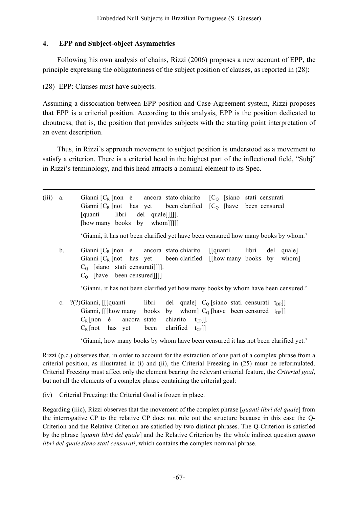## **4. EPP and Subject-object Asymmetries**

Following his own analysis of chains, Rizzi (2006) proposes a new account of EPP, the principle expressing the obligatoriness of the subject position of clauses, as reported in (28):

(28) EPP: Clauses must have subjects.

Assuming a dissociation between EPP position and Case-Agreement system, Rizzi proposes that EPP is a criterial position. According to this analysis, EPP is the position dedicated to aboutness, that is, the position that provides subjects with the starting point interpretation of an event description.

Thus, in Rizzi's approach movement to subject position is understood as a movement to satisfy a criterion. There is a criterial head in the highest part of the inflectional field, "Subj" in Rizzi's terminology, and this head attracts a nominal element to its Spec.

| $(iii)$ a. |               | Gianni $[C_R$ [non è ancora stato chiarito $[C_Q$ [siano stati censurati]<br>Gianni $[C_R$ [not has yet been clarified $[C_O$ [have been censured<br>[quanti libri del quale]]]].<br>[how many books by whom]]]]                                                                           |
|------------|---------------|--------------------------------------------------------------------------------------------------------------------------------------------------------------------------------------------------------------------------------------------------------------------------------------------|
|            |               | 'Gianni, it has not been clarified yet have been censured how many books by whom.'                                                                                                                                                                                                         |
|            | $\mathbf b$ . | Gianni $[C_R \text{ [non } e]$ ancora stato chiarito<br>[[quanti libri del quale]<br>Gianni $[C_R$ [not has yet been clarified [[how many books by whom]<br>$CO$ [siano stati censurati]]].<br>$CO$ [have been censured]]]                                                                 |
|            |               | 'Gianni, it has not been clarified yet how many books by whom have been censured.'                                                                                                                                                                                                         |
|            | $c_{\cdot}$   | ?(?)Gianni, [[[quanti<br>libri del quale $C_0$ (siano stati censurati t <sub>DP</sub> )<br>Gianni, [[[how many books by whom] $C_0$ [have been censured t <sub>DP</sub> ]]<br>$C_R$ [non $\dot{e}$ ancora stato<br>chiarito $t_{CP}$ ].<br>been clarified $t_{CP}$ ]<br>$C_R$ [not has yet |
|            |               | 'Gianni, how many books by whom have been censured it has not been clarified yet.'                                                                                                                                                                                                         |

Rizzi (p.c.) observes that, in order to account for the extraction of one part of a complex phrase from a criterial position, as illustrated in (i) and (ii), the Criterial Freezing in (25) must be reformulated. Criterial Freezing must affect only the element bearing the relevant criterial feature, the *Criterial goal*, but not all the elements of a complex phrase containing the criterial goal:

(iv) Criterial Freezing: the Criterial Goal is frozen in place.

Regarding (iiic), Rizzi observes that the movement of the complex phrase [*quanti libri del quale*] from the interrogative CP to the relative CP does not rule out the structure because in this case the Q-Criterion and the Relative Criterion are satisfied by two distinct phrases. The Q-Criterion is satisfied by the phrase [*quanti libri del quale*] and the Relative Criterion by the whole indirect question *quanti libri del quale siano stati censurati*, which contains the complex nominal phrase.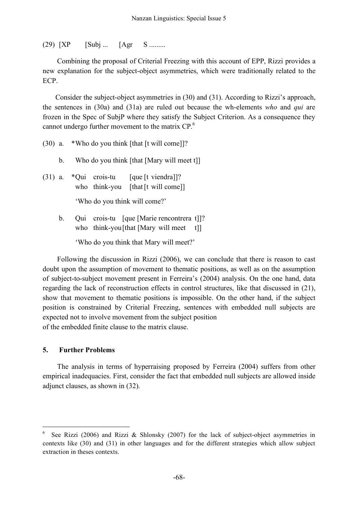$(29)$   $[XP \quad [Subj \dots [Agr \quad S \dots]$ 

Combining the proposal of Criterial Freezing with this account of EPP, Rizzi provides a new explanation for the subject-object asymmetries, which were traditionally related to the ECP.

Consider the subject-object asymmetries in (30) and (31). According to Rizzi's approach, the sentences in (30a) and (31a) are ruled out because the wh-elements *who* and *qui* are frozen in the Spec of SubjP where they satisfy the Subject Criterion. As a consequence they cannot undergo further movement to the matrix  $CP<sup>6</sup>$ .

- (30) a. \*Who do you think [that [t will come]]?
	- b. Who do you think [that [Mary will meet t]]
- (31) a.  $*$ Qui crois-tu [que [t viendra]]? who think-you [that [t will come]]

'Who do you think will come?'

b. Qui crois-tu [que [Marie rencontrera t]]? who think-you [that [Mary will meet t]]

'Who do you think that Mary will meet?'

Following the discussion in Rizzi (2006), we can conclude that there is reason to cast doubt upon the assumption of movement to thematic positions, as well as on the assumption of subject-to-subject movement present in Ferreira's (2004) analysis. On the one hand, data regarding the lack of reconstruction effects in control structures, like that discussed in (21), show that movement to thematic positions is impossible. On the other hand, if the subject position is constrained by Criterial Freezing, sentences with embedded null subjects are expected not to involve movement from the subject position of the embedded finite clause to the matrix clause.

#### **5. Further Problems**

The analysis in terms of hyperraising proposed by Ferreira (2004) suffers from other empirical inadequacies. First, consider the fact that embedded null subjects are allowed inside adjunct clauses, as shown in (32).

See Rizzi (2006) and Rizzi & Shlonsky (2007) for the lack of subject-object asymmetries in contexts like (30) and (31) in other languages and for the different strategies which allow subject extraction in theses contexts.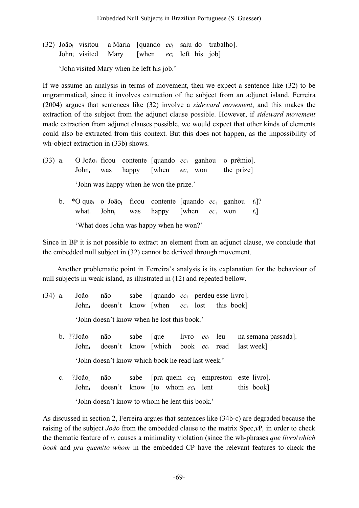(32) Joãoi visitou a Maria [quando *ec*<sup>i</sup> saiu do trabalho]. Johni visited Mary [when *ec*<sup>i</sup> left his job]

'John visited Mary when he left his job.'

If we assume an analysis in terms of movement, then we expect a sentence like (32) to be ungrammatical, since it involves extraction of the subject from an adjunct island. Ferreira (2004) argues that sentences like (32) involve a *sideward movement*, and this makes the extraction of the subject from the adjunct clause possible. However, if *sideward movement* made extraction from adjunct clauses possible, we would expect that other kinds of elements could also be extracted from this context. But this does not happen, as the impossibility of wh-object extraction in (33b) shows.

- (33) a. O Joãoi ficou contente [quando *ec*<sup>i</sup> ganhou o prêmio]. Johni was happy [when *ec*<sup>i</sup> won the prize] 'John was happy when he won the prize.'
	- b. \*O quei o Joãoj ficou contente [quando *ec*<sup>j</sup> ganhou *t*i]? whati Johnj was happy [when *ec*<sup>j</sup> won *t*i] 'What does John was happy when he won?'

Since in BP it is not possible to extract an element from an adjunct clause, we conclude that the embedded null subject in (32) cannot be derived through movement.

Another problematic point in Ferreira's analysis is its explanation for the behaviour of null subjects in weak island, as illustrated in (12) and repeated bellow.

- (34) a. Joãoi não sabe [quando *ec*<sup>i</sup> perdeu esse livro]. Johni doesn't know [when *ec*<sup>i</sup> lost this book] 'John doesn't know when he lost this book.'
	- b. ??Joãoi não sabe [que livro *ec*<sup>i</sup> leu na semana passada]. Johni doesn't know [which book *ec*<sup>i</sup> read last week] 'John doesn't know which book he read last week.'
	- c. ?Joãoi não sabe [pra quem *ec*<sup>i</sup> emprestou este livro]. John<sub>i</sub> doesn't know [to whom *ec*<sub>i</sub> lent this book]

'John doesn't know to whom he lent this book.'

As discussed in section 2, Ferreira argues that sentences like (34b-c) are degraded because the raising of the subject *João* from the embedded clause to the matrix Spec,*v*P*,* in order to check the thematic feature of *v,* causes a minimality violation (since the wh-phrases *que livro*/*which book* and *pra quem*/*to whom* in the embedded CP have the relevant features to check the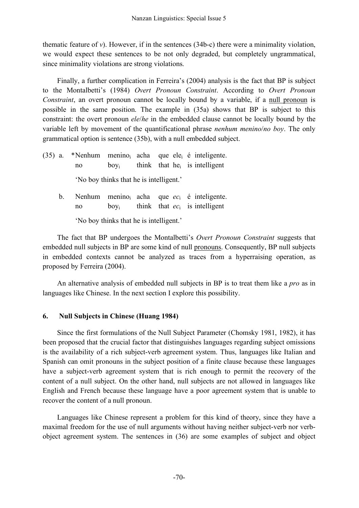thematic feature of  $v$ ). However, if in the sentences (34b-c) there were a minimality violation, we would expect these sentences to be not only degraded, but completely ungrammatical, since minimality violations are strong violations.

Finally, a further complication in Ferreira's (2004) analysis is the fact that BP is subject to the Montalbetti's (1984) *Overt Pronoun Constraint*. According to *Overt Pronoun Constraint*, an overt pronoun cannot be locally bound by a variable, if a null pronoun is possible in the same position. The example in (35a) shows that BP is subject to this constraint: the overt pronoun *ele*/*he* in the embedded clause cannot be locally bound by the variable left by movement of the quantificational phrase *nenhum menino*/*no boy*. The only grammatical option is sentence (35b), with a null embedded subject.

- (35) a. \*Nenhum meninoi acha que elei é inteligente. no  $\text{boy}_i$  think that he<sub>i</sub> is intelligent 'No boy thinks that he is intelligent.'
	- b. Nenhum meninoi acha que *ec*<sup>i</sup> é inteligente. no boyi think that *ec*<sup>i</sup> is intelligent

'No boy thinks that he is intelligent.'

The fact that BP undergoes the Montalbetti's *Overt Pronoun Constraint* suggests that embedded null subjects in BP are some kind of null pronouns. Consequently, BP null subjects in embedded contexts cannot be analyzed as traces from a hyperraising operation, as proposed by Ferreira (2004).

An alternative analysis of embedded null subjects in BP is to treat them like a *pro* as in languages like Chinese. In the next section I explore this possibility.

### **6. Null Subjects in Chinese (Huang 1984)**

Since the first formulations of the Null Subject Parameter (Chomsky 1981, 1982), it has been proposed that the crucial factor that distinguishes languages regarding subject omissions is the availability of a rich subject-verb agreement system. Thus, languages like Italian and Spanish can omit pronouns in the subject position of a finite clause because these languages have a subject-verb agreement system that is rich enough to permit the recovery of the content of a null subject. On the other hand, null subjects are not allowed in languages like English and French because these language have a poor agreement system that is unable to recover the content of a null pronoun.

Languages like Chinese represent a problem for this kind of theory, since they have a maximal freedom for the use of null arguments without having neither subject-verb nor verbobject agreement system. The sentences in (36) are some examples of subject and object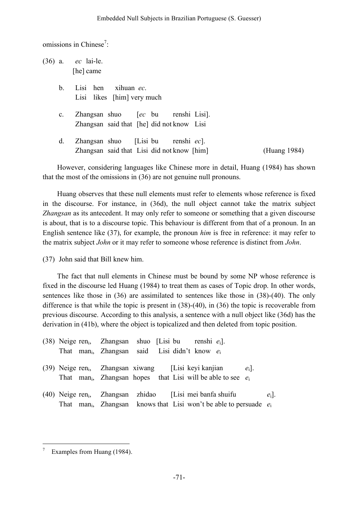omissions in Chinese<sup>7</sup>:

|                | $(36)$ a. <i>ec</i> lai-le.<br>[he] came                                            |              |
|----------------|-------------------------------------------------------------------------------------|--------------|
| $b_{-}$        | Lisi hen<br>xihuan ec.<br>Lisi likes [him] very much                                |              |
| $\mathbf{c}$ . | Zhangsan shuo [ec bu renshi Lisi].<br>Zhangsan said that [he] did not know Lisi     |              |
| d.             | Zhangsan shuo [Lisi bu renshi $ec$ ].<br>Zhangsan said that Lisi did not know [him] | (Huang 1984) |

However, considering languages like Chinese more in detail, Huang (1984) has shown that the most of the omissions in (36) are not genuine null pronouns.

Huang observes that these null elements must refer to elements whose reference is fixed in the discourse. For instance, in (36d), the null object cannot take the matrix subject *Zhangsan* as its antecedent. It may only refer to someone or something that a given discourse is about, that is to a discourse topic. This behaviour is different from that of a pronoun. In an English sentence like (37), for example, the pronoun *him* is free in reference: it may refer to the matrix subject *John* or it may refer to someone whose reference is distinct from *John*.

(37) John said that Bill knew him.

The fact that null elements in Chinese must be bound by some NP whose reference is fixed in the discourse led Huang (1984) to treat them as cases of Topic drop. In other words, sentences like those in (36) are assimilated to sentences like those in (38)-(40). The only difference is that while the topic is present in (38)-(40), in (36) the topic is recoverable from previous discourse. According to this analysis, a sentence with a null object like (36d) has the derivation in (41b), where the object is topicalized and then deleted from topic position.

|  | (38) Neige ren <sub>i</sub> , Zhangsan shuo [Lisi bu renshi $e_i$ ].             |  |  |         |         |
|--|----------------------------------------------------------------------------------|--|--|---------|---------|
|  | That man <sub>i</sub> , Zhangsan said Lisi didn't know $e_i$                     |  |  |         |         |
|  |                                                                                  |  |  |         |         |
|  | (39) Neige ren <sub>i</sub> , Zhangsan xiwang [Lisi keyi kanjian]                |  |  | $e_i$ . |         |
|  | That man <sub>i</sub> , Zhangsan hopes that Lisi will be able to see $e_i$       |  |  |         |         |
|  |                                                                                  |  |  |         |         |
|  | $(40)$ Neige ren <sub>i</sub> , Zhangsan zhidao [Lisi mei banfa shuifu           |  |  |         | $e_i$ . |
|  | That man <sub>i</sub> , Zhangsan knows that Lisi won't be able to persuade $e_i$ |  |  |         |         |

Examples from Huang (1984).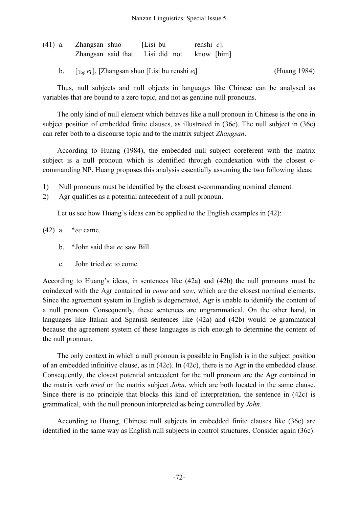| (41) a. Zhangsan shuo                                                | [Lisi bu | renshi e]. |              |
|----------------------------------------------------------------------|----------|------------|--------------|
| Zhangsan said that Lisi did not know [him]                           |          |            |              |
| $[\Gamma_{\text{top}} e_i]$ , [Zhangsan shuo [Lisi bu renshi $e_i$ ] |          |            | (Huang 1984) |

Thus, null subjects and null objects in languages like Chinese can be analysed as variables that are bound to a zero topic, and not as genuine null pronouns.

The only kind of null element which behaves like a null pronoun in Chinese is the one in subject position of embedded finite clauses, as illustrated in (36c). The null subject in (36c) can refer both to a discourse topic and to the matrix subject *Zhangsan*.

According to Huang (1984), the embedded null subject coreferent with the matrix subject is a null pronoun which is identified through coindexation with the closest ccommanding NP. Huang proposes this analysis essentially assuming the two following ideas:

- 1) Null pronouns must be identified by the closest c-commanding nominal element.
- 2) Agr qualifies as a potential antecedent of a null pronoun.

Let us see how Huang's ideas can be applied to the English examples in (42):

(42) a. \**ec* came.

- b. \*John said that *ec* saw Bill.
- c. John tried *ec* to come.

According to Huang's ideas, in sentences like (42a) and (42b) the null pronouns must be coindexed with the Agr contained in *come* and *saw*, which are the closest nominal elements. Since the agreement system in English is degenerated, Agr is unable to identify the content of a null pronoun. Consequently, these sentences are ungrammatical. On the other hand, in languages like Italian and Spanish sentences like (42a) and (42b) would be grammatical because the agreement system of these languages is rich enough to determine the content of the null pronoun.

The only context in which a null pronoun is possible in English is in the subject position of an embedded infinitive clause, as in (42c). In (42c), there is no Agr in the embedded clause. Consequently, the closest potential antecedent for the null pronoun are the Agr contained in the matrix verb *tried* or the matrix subject *John*, which are both located in the same clause. Since there is no principle that blocks this kind of interpretation, the sentence in (42c) is grammatical, with the null pronoun interpreted as being controlled by *John*.

According to Huang, Chinese null subjects in embedded finite clauses like (36c) are identified in the same way as English null subjects in control structures. Consider again (36c):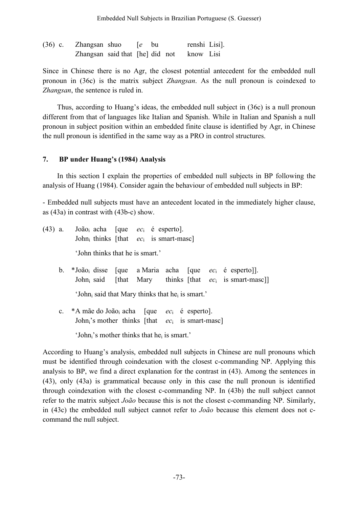| $(36)$ c. | Zhangsan shuo                             | $\left[ e \quad \text{bu} \right]$ |  | renshi Lisi]. |  |
|-----------|-------------------------------------------|------------------------------------|--|---------------|--|
|           | Zhangsan said that [he] did not know Lisi |                                    |  |               |  |

Since in Chinese there is no Agr, the closest potential antecedent for the embedded null pronoun in (36c) is the matrix subject *Zhangsan*. As the null pronoun is coindexed to *Zhangsan*, the sentence is ruled in.

Thus, according to Huang's ideas, the embedded null subject in (36c) is a null pronoun different from that of languages like Italian and Spanish. While in Italian and Spanish a null pronoun in subject position within an embedded finite clause is identified by Agr, in Chinese the null pronoun is identified in the same way as a PRO in control structures.

### **7. BP under Huang's (1984) Analysis**

In this section I explain the properties of embedded null subjects in BP following the analysis of Huang (1984). Consider again the behaviour of embedded null subjects in BP:

- Embedded null subjects must have an antecedent located in the immediately higher clause, as (43a) in contrast with (43b-c) show.

| (43) a. | João <sub>i</sub> acha [que <i>ec</i> <sub>i</sub> é esperto].         |  |  |                                                                       |  |
|---------|------------------------------------------------------------------------|--|--|-----------------------------------------------------------------------|--|
|         | John thinks [that $ec_i$ is smart-masc]                                |  |  |                                                                       |  |
|         | 'John thinks that he is smart.'                                        |  |  |                                                                       |  |
|         | b. *João <sub>i</sub> disse [que a Maria acha [que $ec_i$ é esperto]]. |  |  |                                                                       |  |
|         |                                                                        |  |  | John <sub>i</sub> said [that Mary thinks [that $ec_i$ is smart-masc]] |  |
|         | 'John, said that Mary thinks that he <sub>i</sub> is smart.'           |  |  |                                                                       |  |
|         | c. *A mãe do João <sub>i</sub> acha [que $ec_i$ é esperto].            |  |  |                                                                       |  |
|         | John's mother thinks [that $ec_i$ is smart-masc]                       |  |  |                                                                       |  |

'John<sub>i</sub>'s mother thinks that he<sub>i</sub> is smart.'

According to Huang's analysis, embedded null subjects in Chinese are null pronouns which must be identified through coindexation with the closest c-commanding NP. Applying this analysis to BP, we find a direct explanation for the contrast in (43). Among the sentences in (43), only (43a) is grammatical because only in this case the null pronoun is identified through coindexation with the closest c-commanding NP. In (43b) the null subject cannot refer to the matrix subject *João* because this is not the closest c-commanding NP. Similarly, in (43c) the embedded null subject cannot refer to *João* because this element does not ccommand the null subject.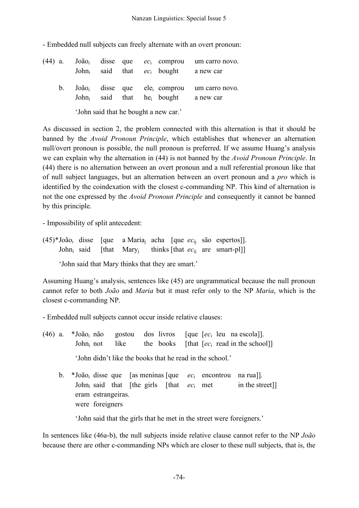- Embedded null subjects can freely alternate with an overt pronoun:

| $(44)$ a. |         |  |  | João <sub>i</sub> disse que $ec_i$ comprou<br>John said that $ec_i$ bought | um carro novo.<br>a new car |
|-----------|---------|--|--|----------------------------------------------------------------------------|-----------------------------|
|           | $b_{1}$ |  |  | $Joãoi$ disse que ele <sub>i</sub> comprou<br>John said that $he_i$ bought | um carro novo.<br>a new car |
|           |         |  |  | 'John said that he bought a new car.'                                      |                             |

As discussed in section 2, the problem connected with this alternation is that it should be banned by the *Avoid Pronoun Principle*, which establishes that whenever an alternation null/overt pronoun is possible, the null pronoun is preferred. If we assume Huang's analysis we can explain why the alternation in (44) is not banned by the *Avoid Pronoun Principle*. In (44) there is no alternation between an overt pronoun and a null referential pronoun like that of null subject languages, but an alternation between an overt pronoun and a *pro* which is identified by the coindexation with the closest c-commanding NP. This kind of alternation is not the one expressed by the *Avoid Pronoun Principle* and consequently it cannot be banned by this principle.

- Impossibility of split antecedent:

(45)\*Joãoi disse [que a Mariaj acha [que *ec*ij são espertos]]. John<sub>i</sub> said [that Mary<sub>i</sub> thinks [that *ec*<sub>ij</sub> are smart-pl]]

'John said that Mary thinks that they are smart.'

Assuming Huang's analysis, sentences like (45) are ungrammatical because the null pronoun cannot refer to both *João* and *Maria* but it must refer only to the NP *Maria*, which is the closest c-commanding NP.

- Embedded null subjects cannot occur inside relative clauses:

- (46) a. \*Joãoi não gostou dos livros [que [*ec*<sup>i</sup> leu na escola]]. John<sub>i</sub> not like the books [that  $[ec_i \text{ read in the school}]$ ] 'John didn't like the books that he read in the school.'
	- b. \*Joãoi disse que [as meninas [que *ec*<sup>i</sup> encontrou na rua]]. John<sub>i</sub> said that [the girls [that  $ec_i$  met in the street]] eram estrangeiras. were foreigners

'John said that the girls that he met in the street were foreigners.'

In sentences like (46a-b), the null subjects inside relative clause cannot refer to the NP *João* because there are other c-commanding NPs which are closer to these null subjects, that is, the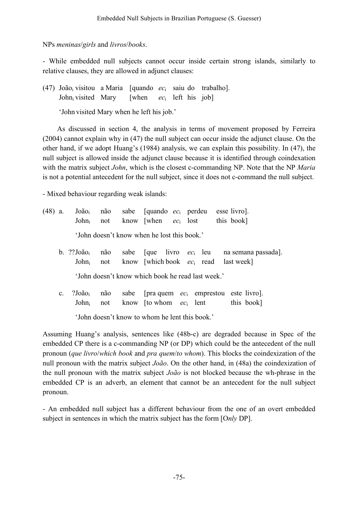NPs *meninas*/*girls* and *livros*/*books*.

- While embedded null subjects cannot occur inside certain strong islands, similarly to relative clauses, they are allowed in adjunct clauses:

(47) Joãoi visitou a Maria [quando *ec*<sup>i</sup> saiu do trabalho]. Johni visited Mary [when *ec*<sup>i</sup> left his job]

'John visited Mary when he left his job.'

As discussed in section 4, the analysis in terms of movement proposed by Ferreira (2004) cannot explain why in (47) the null subject can occur inside the adjunct clause. On the other hand, if we adopt Huang's (1984) analysis, we can explain this possibility. In (47), the null subject is allowed inside the adjunct clause because it is identified through coindexation with the matrix subject *John*, which is the closest c-commanding NP. Note that the NP *Maria*  is not a potential antecedent for the null subject, since it does not c-command the null subject.

- Mixed behaviour regarding weak islands:

|  |  |                                             |  | $(48)$ a. João <sub>i</sub> não sabe [quando <i>ec</i> <sub>i</sub> perdeu esse livro].<br>John <sub>i</sub> not know when $ec_i$ lost this book |
|--|--|---------------------------------------------|--|--------------------------------------------------------------------------------------------------------------------------------------------------|
|  |  | 'John doesn't know when he lost this book.' |  |                                                                                                                                                  |

b. ??Joãoi não sabe [que livro *ec*<sup>i</sup> leu na semana passada]. Johni not know [which book *ec*<sup>i</sup> read last week]

'John doesn't know which book he read last week.'

c. ?Joãoi não sabe [pra quem *ec*<sup>i</sup> emprestou este livro]. John<sub>i</sub> not know [to whom  $ec_i$  lent this book]

'John doesn't know to whom he lent this book.'

Assuming Huang's analysis, sentences like (48b-c) are degraded because in Spec of the embedded CP there is a c-commanding NP (or DP) which could be the antecedent of the null pronoun (*que livro*/*which book* and *pra quem*/*to whom*). This blocks the coindexization of the null pronoun with the matrix subject *João*. On the other hand, in (48a) the coindexization of the null pronoun with the matrix subject *João* is not blocked because the wh-phrase in the embedded CP is an adverb, an element that cannot be an antecedent for the null subject pronoun.

- An embedded null subject has a different behaviour from the one of an overt embedded subject in sentences in which the matrix subject has the form [O*nly* DP].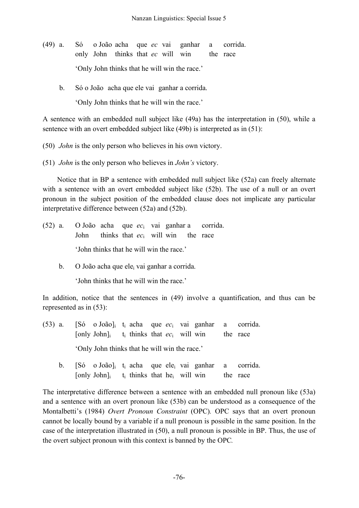- (49) a. Só o João acha que *ec* vai ganhar a corrida. only John thinks that *ec* will win the race 'Only John thinks that he will win the race.'
	- b. Só o João acha que ele vai ganhar a corrida.

'Only John thinks that he will win the race.'

A sentence with an embedded null subject like (49a) has the interpretation in (50), while a sentence with an overt embedded subject like (49b) is interpreted as in (51):

(50) *John* is the only person who believes in his own victory.

(51) *John* is the only person who believes in *John's* victory.

Notice that in BP a sentence with embedded null subject like (52a) can freely alternate with a sentence with an overt embedded subject like (52b). The use of a null or an overt pronoun in the subject position of the embedded clause does not implicate any particular interpretative difference between (52a) and (52b).

- (52) a. O João acha que *ec*<sup>i</sup> vai ganhar a corrida. John thinks that *ec*<sup>i</sup> will win the race 'John thinks that he will win the race.'
	- b. O João acha que ele<sub>i</sub> vai ganhar a corrida.

'John thinks that he will win the race.'

In addition, notice that the sentences in (49) involve a quantification, and thus can be represented as in (53):

- (53) a. [Só o João]i ti acha que *ec*<sup>i</sup> vai ganhar a corrida.  $[only John]$ <sub>i</sub> t<sub>i</sub> thinks that *ec*<sub>i</sub> will win the race 'Only John thinks that he will win the race.'
	- b. [Só o João]<sub>i</sub> t<sub>i</sub> acha que ele<sub>i</sub> vai ganhar a corrida. [only John] $\mathrm{i}$  t<sub>i</sub> thinks that he<sub>i</sub> will win the race

The interpretative difference between a sentence with an embedded null pronoun like (53a) and a sentence with an overt pronoun like (53b) can be understood as a consequence of the Montalbetti's (1984) *Overt Pronoun Constraint* (OPC)*.* OPC says that an overt pronoun cannot be locally bound by a variable if a null pronoun is possible in the same position. In the case of the interpretation illustrated in (50), a null pronoun is possible in BP. Thus, the use of the overt subject pronoun with this context is banned by the OPC*.*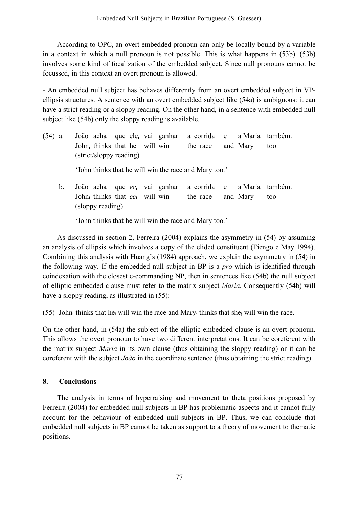According to OPC, an overt embedded pronoun can only be locally bound by a variable in a context in which a null pronoun is not possible. This is what happens in (53b). (53b) involves some kind of focalization of the embedded subject. Since null pronouns cannot be focussed, in this context an overt pronoun is allowed.

- An embedded null subject has behaves differently from an overt embedded subject in VPellipsis structures. A sentence with an overt embedded subject like (54a) is ambiguous: it can have a strict reading or a sloppy reading. On the other hand, in a sentence with embedded null subject like (54b) only the sloppy reading is available.

| (54) a. |  |                              |  |                                                       |                   |  | João <sub>i</sub> acha que ele <sub>i</sub> vai ganhar a corrida e a Maria também. |
|---------|--|------------------------------|--|-------------------------------------------------------|-------------------|--|------------------------------------------------------------------------------------|
|         |  | John thinks that he will win |  |                                                       | the race and Mary |  | too                                                                                |
|         |  | (strict/sloppy reading)      |  |                                                       |                   |  |                                                                                    |
|         |  |                              |  | 'John thinks that he will win the race and Mary too.' |                   |  |                                                                                    |

b. Joãoi acha que *ec*<sup>i</sup> vai ganhar a corrida e a Maria também. Johni thinks that *ec*<sup>i</sup> will win the race and Mary too (sloppy reading)

'John thinks that he will win the race and Mary too.'

As discussed in section 2, Ferreira (2004) explains the asymmetry in (54) by assuming an analysis of ellipsis which involves a copy of the elided constituent (Fiengo e May 1994). Combining this analysis with Huang's (1984) approach, we explain the asymmetry in (54) in the following way. If the embedded null subject in BP is a *pro* which is identified through coindexation with the closest c-commanding NP, then in sentences like (54b) the null subject of elliptic embedded clause must refer to the matrix subject *Maria.* Consequently (54b) will have a sloppy reading, as illustrated in (55):

(55) John<sub>i</sub> thinks that he<sub>i</sub> will win the race and Mary<sub>i</sub> thinks that she<sub>i</sub> will win the race.

On the other hand, in (54a) the subject of the elliptic embedded clause is an overt pronoun. This allows the overt pronoun to have two different interpretations. It can be coreferent with the matrix subject *Maria* in its own clause (thus obtaining the sloppy reading) or it can be coreferent with the subject *João* in the coordinate sentence (thus obtaining the strict reading).

## **8. Conclusions**

The analysis in terms of hyperraising and movement to theta positions proposed by Ferreira (2004) for embedded null subjects in BP has problematic aspects and it cannot fully account for the behaviour of embedded null subjects in BP. Thus, we can conclude that embedded null subjects in BP cannot be taken as support to a theory of movement to thematic positions.